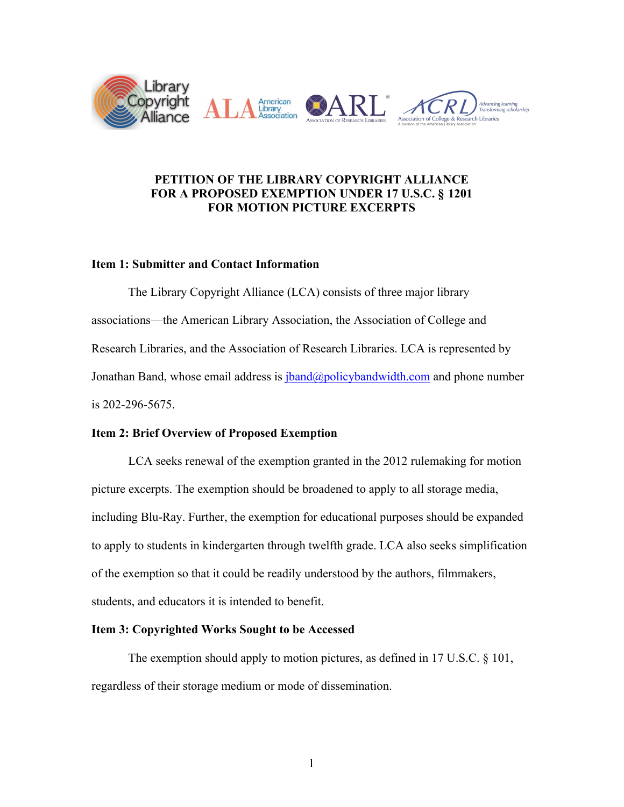

# **PETITION OF THE LIBRARY COPYRIGHT ALLIANCE FOR A PROPOSED EXEMPTION UNDER 17 U.S.C. § 1201 FOR MOTION PICTURE EXCERPTS**

# **Item 1: Submitter and Contact Information**

The Library Copyright Alliance (LCA) consists of three major library associations—the American Library Association, the Association of College and Research Libraries, and the Association of Research Libraries. LCA is represented by Jonathan Band, whose email address is *jband@policybandwidth.com* and phone number is 202-296-5675.

# **Item 2: Brief Overview of Proposed Exemption**

LCA seeks renewal of the exemption granted in the 2012 rulemaking for motion picture excerpts. The exemption should be broadened to apply to all storage media, including Blu-Ray. Further, the exemption for educational purposes should be expanded to apply to students in kindergarten through twelfth grade. LCA also seeks simplification of the exemption so that it could be readily understood by the authors, filmmakers, students, and educators it is intended to benefit.

## **Item 3: Copyrighted Works Sought to be Accessed**

The exemption should apply to motion pictures, as defined in 17 U.S.C. § 101, regardless of their storage medium or mode of dissemination.